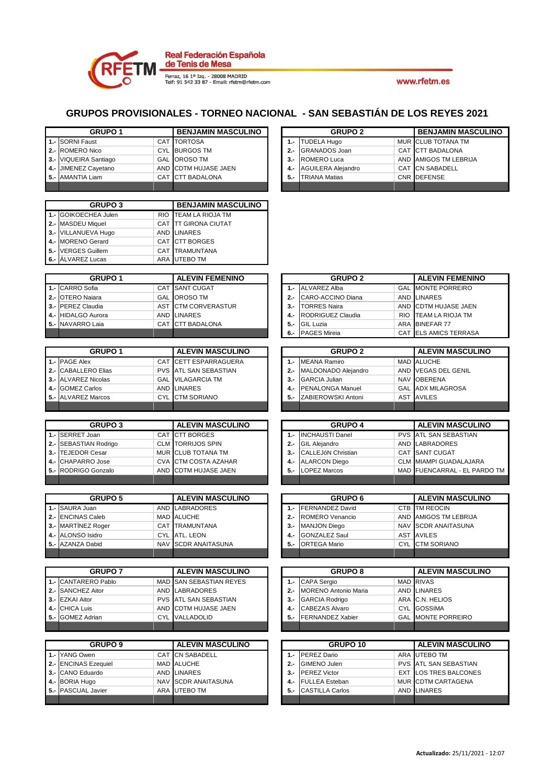

|       | <b>GRUPO1</b>            |            | <b>BENJAMIN MASCULINO</b> |       | <b>GRUPO 2</b>              |      | <b>BENJAMIN MASCULINO</b>    |
|-------|--------------------------|------------|---------------------------|-------|-----------------------------|------|------------------------------|
| $1 -$ | <b>SORNI Faust</b>       |            | <b>CAT TORTOSA</b>        | $1 -$ | <b>TUDELA Hugo</b>          |      | MUR CLUB TOTANA TM           |
| $2 -$ | <b>ROMERO Nico</b>       |            | CYL BURGOS TM             | $2 -$ | <b>GRANADOS Joan</b>        |      | CAT CTT BADALONA             |
| $3 -$ | VIQUEIRA Santiago        |            | <b>GAL OROSO TM</b>       | $3 -$ | <b>ROMERO Luca</b>          |      | AND AMIGOS TM LEBRIJA        |
| 4.-   | JIMENEZ Cayetano         |            | AND CDTM HUJASE JAEN      | 4.-   | <b>AGUILERA Alejandro</b>   |      | <b>CAT CN SABADELL</b>       |
| 5.-   | <b>AMANTIA Liam</b>      |            | CAT CTT BADALONA          | 5.-   | <b>TRIANA Matias</b>        |      | CNR DEFENSE                  |
|       |                          |            |                           |       |                             |      |                              |
|       |                          |            |                           |       |                             |      |                              |
|       | <b>GRUPO 3</b>           |            | <b>BENJAMIN MASCULINO</b> |       |                             |      |                              |
| $1 -$ | GOIKOECHEA Julen         | <b>RIO</b> | <b>TEAM LA RIOJA TM</b>   |       |                             |      |                              |
| $2 -$ | <b>MASDEU Miquel</b>     |            | CAT TT GIRONA CIUTAT      |       |                             |      |                              |
| $3 -$ | <b>VILLANUEVA Hugo</b>   |            | AND LINARES               |       |                             |      |                              |
| 4.-   | <b>MORENO</b> Gerard     |            | CAT CTT BORGES            |       |                             |      |                              |
| 5.-   | <b>VERGES Guillem</b>    |            | <b>CAT TRAMUNTANA</b>     |       |                             |      |                              |
| 6.-   | <b>ALVAREZ Lucas</b>     |            | ARA UTEBO TM              |       |                             |      |                              |
|       |                          |            |                           |       |                             |      |                              |
|       | <b>GRUPO 1</b>           |            | <b>ALEVIN FEMENINO</b>    |       | <b>GRUPO 2</b>              |      | <b>ALEVIN FEMENINO</b>       |
| $1 -$ | <b>CARRO</b> Sofia       | <b>CAT</b> | <b>SANT CUGAT</b>         | $1 -$ | <b>ALVAREZ Alba</b>         | GAL  | <b>MONTE PORREIRO</b>        |
| 2.-   | <b>OTERO Naiara</b>      |            | <b>GAL OROSO TM</b>       | $2 -$ | CARO-ACCINO Diana           |      | AND LINARES                  |
| $3 -$ | <b>PEREZ Claudia</b>     |            | AST CTM CORVERASTUR       | $3 -$ | <b>TORRES Naira</b>         |      | AND CDTM HUJASE JAEN         |
| 4.-   | <b>HIDALGO Aurora</b>    |            | AND LINARES               | 4.-   | RODRIGUEZ Claudia           | RIO. | <b>TEAM LA RIOJA TM</b>      |
| 5.-   | NAVARRO Laia             |            | CAT CTT BADALONA          | $5 -$ | <b>GIL Luzia</b>            |      | ARA BINEFAR 77               |
|       |                          |            |                           | $6 -$ | <b>PAGES Mireia</b>         |      | CAT ELS AMICS TERRASA        |
|       |                          |            |                           |       |                             |      |                              |
|       | <b>GRUPO1</b>            |            | <b>ALEVIN MASCULINO</b>   |       | <b>GRUPO 2</b>              |      | <b>ALEVIN MASCULINO</b>      |
| $1 -$ | <b>PAGE Alex</b>         |            | CAT CETT ESPARRAGUERA     | $1 -$ | <b>MEANA Ramiro</b>         |      | MAD ALUCHE                   |
| $2 -$ | <b>CABALLERO Elias</b>   |            | PVS ATL SAN SEBASTIAN     | $2 -$ | MALDONADO Alejandro         |      | AND VEGAS DEL GENIL          |
| 3.-   | <b>ALVAREZ Nicolas</b>   |            | <b>GAL VILAGARCIA TM</b>  | $3 -$ | <b>GARCIA Julian</b>        |      | NAV OBERENA                  |
| 4.-   | <b>GOMEZ Carlos</b>      |            | AND LINARES               | $4 -$ | PENALONGA Manuel            |      | <b>GAL ADX MILAGROSA</b>     |
| $5 -$ | <b>ALVAREZ Marcos</b>    | <b>CYL</b> | <b>CTM SORIANO</b>        | $5 -$ | ZABIEROWSKI Antoni          |      | <b>AST AVILES</b>            |
|       |                          |            |                           |       |                             |      |                              |
|       |                          |            |                           |       |                             |      |                              |
|       |                          |            |                           |       |                             |      |                              |
|       | <b>GRUPO 3</b>           |            | <b>ALEVIN MASCULINO</b>   |       | <b>GRUPO 4</b>              |      | <b>ALEVIN MASCULINO</b>      |
| 1.-   | <b>SERRET Joan</b>       |            | CAT CTT BORGES            | $1 -$ | <b>INCHAUSTI Danel</b>      |      | PVS ATL SAN SEBASTIAN        |
| $2 -$ | <b>SEBASTIAN Rodrigo</b> |            | <b>CLM TORRIJOS SPIN</b>  | $2 -$ | <b>GIL Alejandro</b>        |      | AND LABRADORES               |
| 3.-   | <b>TEJEDOR Cesar</b>     |            | MUR CLUB TOTANA TM        | $3 -$ | CALLEJóN Christian          |      | <b>CAT SANT CUGAT</b>        |
| 4.-   | <b>CHAPARRO Jose</b>     |            | CVA CTM COSTA AZAHAR      | 4.-   | <b>ALARCON Diego</b>        |      | CLM MIAMPI GUADALAJARA       |
| $5 -$ | RODRIGO Gonzalo          | <b>AND</b> | <b>CDTM HUJASE JAEN</b>   | $5 -$ | <b>LOPEZ Marcos</b>         |      | MAD FUENCARRAL - EL PARDO TM |
|       |                          |            |                           |       |                             |      |                              |
|       | <b>GRUPO 5</b>           |            | <b>ALEVIN MASCULINO</b>   |       | <b>GRUPO 6</b>              |      | <b>ALEVIN MASCULINO</b>      |
| $1 -$ | SAURA Juan               |            | AND LABRADORES            | $1 -$ | <b>FERNANDEZ David</b>      |      | CTB TM REOCIN                |
| $2 -$ | <b>ENCINAS Caleb</b>     |            | MAD ALUCHE                | $2 -$ | ROMERO Venancio             |      | AND AMIGOS TM LEBRIJA        |
| $3 -$ | <b>MARTÍNEZ Roger</b>    |            | <b>CAT TRAMUNTANA</b>     | $3 -$ | <b>MANJON Diego</b>         |      | NAV SCDR ANAITASUNA          |
|       | 4.- ALONSO Isidro        |            | CYL ATL. LEON             | 4.-   | <b>GONZALEZ Saul</b>        |      | <b>AST AVILES</b>            |
|       | 5.- AZANZA Dabid         |            | NAV SCDR ANAITASUNA       | 5.-   | <b>ORTEGA Mario</b>         |      | CYL CTM SORIANO              |
|       |                          |            |                           |       |                             |      |                              |
|       |                          |            |                           |       |                             |      |                              |
|       | <b>GRUPO 7</b>           |            | <b>ALEVIN MASCULINO</b>   |       | <b>GRUPO 8</b>              |      | <b>ALEVIN MASCULINO</b>      |
|       | 1.- CANTARERO Pablo      |            | MAD SAN SEBASTIAN REYES   | $1 -$ | <b>CAPA Sergio</b>          |      | <b>MAD RIVAS</b>             |
| $2 -$ | <b>SANCHEZ Aitor</b>     |            | AND LABRADORES            | $2 -$ | <b>MORENO Antonio Maria</b> |      | AND LINARES                  |
| $3 -$ | <b>EZKAI Aitor</b>       |            | PVS ATL SAN SEBASTIAN     | $3 -$ | <b>GARCIA Rodrigo</b>       |      | ARA C.N. HELIOS              |
| 4.-   | <b>CHICA Luis</b>        |            | AND CDTM HUJASE JAEN      | $4 -$ | <b>CABEZAS Alvaro</b>       |      | CYL GOSSIMA                  |
| 5.-   | <b>GOMEZ Adrian</b>      |            | CYL VALLADOLID            | 5.-   | FERNANDEZ Xabier            |      | <b>GAL MONTE PORREIRO</b>    |
|       |                          |            |                           |       |                             |      |                              |
|       |                          |            |                           |       |                             |      |                              |
|       | <b>GRUPO 9</b>           |            | <b>ALEVIN MASCULINO</b>   |       | GRUPO 10                    |      | <b>ALEVIN MASCULINO</b>      |
|       | 1.- YANG Owen            |            | CAT CN SABADELL           | $1 -$ | PEREZ Dario                 |      | ARA UTEBO TM                 |
| 2.-   | <b>ENCINAS Ezequiel</b>  |            | MAD ALUCHE                | $2 -$ | GIMENO Julen                |      | PVS ATL SAN SEBASTIAN        |
| $3 -$ | <b>CANO Eduardo</b>      |            | AND LINARES               | $3 -$ | <b>PEREZ Victor</b>         |      | <b>EXT LOS TRES BALCONES</b> |
|       | 4.- BORIA Hugo           |            | NAV SCDR ANAITASUNA       | 4.-   | <b>FULLEA</b> Esteban       |      | MUR CDTM CARTAGENA           |
|       | 5.- PASCUAL Javier       |            | ARA UTEBO TM              | 5.-   | <b>CASTILLA Carlos</b>      |      | AND LINARES                  |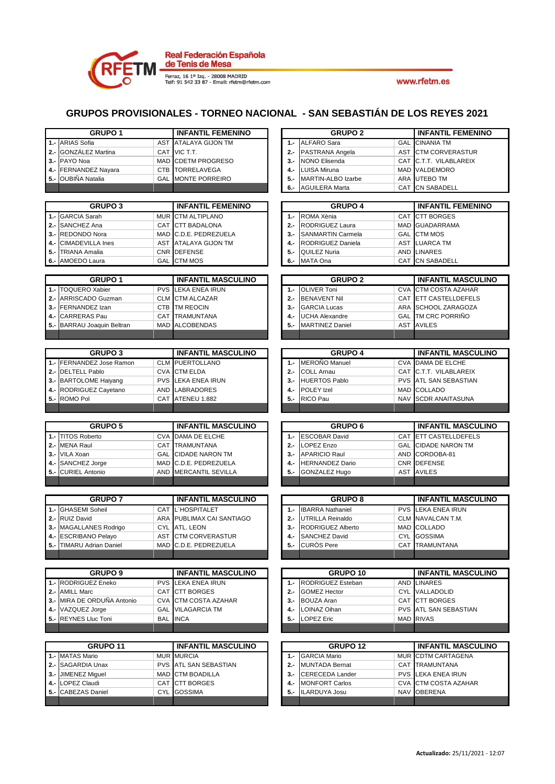

|       | <b>GRUPO1</b>                          |            | <b>INFANTIL FEMENINO</b>      |            | <b>GRUPO 2</b>                                |            | <b>INFANTIL FEMENINO</b>            |
|-------|----------------------------------------|------------|-------------------------------|------------|-----------------------------------------------|------------|-------------------------------------|
| $1 -$ | <b>ARIAS Sofia</b>                     | <b>AST</b> | <b>ATALAYA GIJON TM</b>       | $1 -$      | <b>ALFARO Sara</b>                            | GAL        | <b>CINANIA TM</b>                   |
| $2 -$ | <b>GONZÁLEZ Martina</b>                |            | CAT VIC T.T.                  | $2 -$      | PASTRANA Angela                               | AST        | <b>CTM CORVERASTUR</b>              |
|       | 3 .- PAYO Noa                          |            | MAD CDETM PROGRESO            | $3 -$      | <b>NONO Elisenda</b>                          |            | CAT C.T.T. VILABLAREIX              |
| 4.-   | FERNANDEZ Nayara                       | <b>CTB</b> | <b>TORRELAVEGA</b>            | $4 -$      | <b>LUISA Miruna</b>                           |            | MAD VALDEMORO                       |
| 5.-   | OUBIÑA Natalia                         | GAL        | <b>MONTE PORREIRO</b>         | $5 -$      | <b>MARTIN-ALBO Izarbe</b>                     |            | ARA UTEBO TM                        |
|       |                                        |            |                               | 6.-        | <b>AGUILERA Marta</b>                         | <b>CAT</b> | <b>CN SABADELL</b>                  |
|       |                                        |            |                               |            |                                               |            |                                     |
|       | <b>GRUPO 3</b>                         |            | <b>INFANTIL FEMENINO</b>      |            | <b>GRUPO 4</b>                                |            | <b>INFANTIL FEMENINO</b>            |
| $1 -$ | <b>GARCIA Sarah</b>                    |            | MUR CTM ALTIPLANO             | $1 -$      | ROMA Xènia                                    | <b>CAT</b> | <b>CTT BORGES</b>                   |
| $2 -$ | SANCHEZ Ana                            | CAT        | <b>CTT BADALONA</b>           | $2 -$      | RODRIGUEZ Laura                               |            | MAD GUADARRAMA                      |
| 3.-   | <b>REDONDO Nora</b>                    |            | MAD C.D.E. PEDREZUELA         | $3 -$      | <b>SANMARTIN Carmela</b>                      | <b>GAL</b> | <b>CTM MOS</b>                      |
| 4.-   | <b>CIMADEVILLA Ines</b>                | <b>AST</b> | <b>ATALAYA GIJON TM</b>       | $4 -$      | RODRIGUEZ Daniela                             | <b>AST</b> | <b>LUARCA TM</b>                    |
| 5.-   | <b>TRIANA Amalia</b>                   |            | CNR DEFENSE                   | $5 -$      | QUILEZ Nuria                                  |            | <b>AND LINARES</b>                  |
| 6.-   | AMOEDO Laura                           | <b>GAL</b> | <b>CTM MOS</b>                | 6.-        | MATA Ona                                      |            | <b>CAT CN SABADELL</b>              |
|       |                                        |            |                               |            |                                               |            |                                     |
|       | <b>GRUPO 1</b>                         |            | <b>INFANTIL MASCULINO</b>     |            | <b>GRUPO 2</b>                                |            | <b>INFANTIL MASCULINO</b>           |
| $1 -$ | <b>TOQUERO Xabier</b>                  | <b>PVS</b> | <b>LEKA ENEA IRUN</b>         | 1.-        | <b>OLIVER Toni</b>                            |            | <b>CVA</b> CTM COSTA AZAHAR         |
| $2 -$ | ARRISCADO Guzman                       |            | <b>CLM</b> CTM ALCAZAR        | $2 -$      | <b>BENAVENT Nil</b>                           |            | CAT ETT CASTELLDEFELS               |
| $3 -$ | FERNANDEZ Izan                         | <b>CTB</b> | <b>TM REOCIN</b>              | $3 -$      | <b>GARCIA Lucas</b>                           |            | ARA SCHOOL ZARAGOZA                 |
| 4.-   | <b>CARRERAS Pau</b>                    | CAT        | <b>TRAMUNTANA</b>             | 4.-        | <b>UCHA Alexandre</b>                         | <b>GAL</b> | TM CRC PORRIÑO                      |
| 5.-   | <b>BARRAU Joaquin Beltran</b>          | <b>MAD</b> | <b>ALCOBENDAS</b>             | $5 -$      | <b>MARTINEZ Daniel</b>                        |            | <b>AST AVILES</b>                   |
|       |                                        |            |                               |            |                                               |            |                                     |
|       |                                        |            |                               |            |                                               |            |                                     |
|       | <b>GRUPO 3</b>                         |            | <b>INFANTIL MASCULINO</b>     |            | <b>GRUPO 4</b>                                |            | <b>INFANTIL MASCULINO</b>           |
| $1 -$ | FERNANDEZ Jose Ramon                   |            | <b>CLM PUERTOLLANO</b>        | $1 -$      | MEROÑO Manuel                                 |            | <b>CVA DAMA DE ELCHE</b>            |
| $2 -$ | <b>DELTELL Pablo</b>                   |            | <b>CVA</b> CTM ELDA           | $2 -$      | <b>COLL Arnau</b>                             |            | CAT C.T.T. VILABLAREIX              |
|       | 3.- BARTOLOME Haiyang                  |            | <b>PVS</b> LEKA ENEA IRUN     | $3 -$      | <b>HUERTOS Pablo</b>                          |            | <b>PVS</b> ATL SAN SEBASTIAN        |
| 4.-   | RODRIGUEZ Cayetano                     | AND        | <b>LABRADORES</b>             | 4.-        | <b>POLEY Izel</b>                             |            | MAD COLLADO                         |
| $5 -$ | ROMO Pol                               | <b>CAT</b> | ATENEU 1.882                  | $5 -$      | RICO Pau                                      | <b>NAV</b> | <b>SCDR ANAITASUNA</b>              |
|       |                                        |            |                               |            |                                               |            |                                     |
|       |                                        |            |                               |            |                                               |            |                                     |
|       |                                        |            |                               |            |                                               |            |                                     |
|       | <b>GRUPO 5</b>                         |            | <b>INFANTIL MASCULINO</b>     |            | <b>GRUPO 6</b>                                |            | <b>INFANTIL MASCULINO</b>           |
| $1 -$ | <b>TITOS Roberto</b>                   |            | <b>CVA DAMA DE ELCHE</b>      | $1 -$      | <b>ESCOBAR David</b>                          |            | CAT ETT CASTELLDEFELS               |
| $2 -$ | <b>MENA Raul</b>                       |            | <b>CAT TRAMUNTANA</b>         | $2 -$      | LOPEZ Enzo                                    |            | <b>GAL CIDADE NARON TM</b>          |
| $3 -$ | VILA Xoan                              |            | <b>GAL CIDADE NARON TM</b>    | $3 -$      | <b>APARICIO Raul</b>                          |            | AND CORDOBA-81                      |
| 4.-   | SANCHEZ Jorge                          | <b>MAD</b> | C.D.E. PEDREZUELA             | 4.-        | <b>HERNANDEZ Dario</b>                        |            | CNR DEFENSE                         |
| 5.-   | <b>CURIEL Antonio</b>                  | <b>AND</b> | <b>MERCANTIL SEVILLA</b>      | 5.-        | GONZALEZ Hugo                                 | <b>AST</b> | <b>AVILES</b>                       |
|       |                                        |            |                               |            |                                               |            |                                     |
|       |                                        |            |                               |            |                                               |            |                                     |
|       | <b>GRUPO 7</b>                         |            | <b>INFANTIL MASCULINO</b>     |            | <b>GRUPO 8</b>                                |            | <b>INFANTIL MASCULINO</b>           |
|       | 1.- GHASEMI Soheil                     |            | <b>CAT L'HOSPITALET</b>       | $1 -$      | <b>IBARRA Nathaniel</b>                       |            | <b>PVS LEKA ENEA IRUN</b>           |
|       | 2.- RUIZ David                         |            | ARA PUBLIMAX CAI SANTIAGO     | $2 -$      | <b>UTRILLA Reinaldo</b>                       |            | CLM NAVALCAN T.M.                   |
| 3.-   | MAGALLANES Rodrigo                     | <b>CYL</b> | <b>ATL. LEON</b>              | $3 -$      | RODRIGUEZ Alberto                             |            | MAD COLLADO                         |
|       | 4 .- ESCRIBANO Pelayo                  | AST        | <b>CTM CORVERASTUR</b>        | 4.-        | <b>SANCHEZ David</b>                          |            | CYL GOSSIMA                         |
|       | 5.- TIMARU Adrian Daniel               |            | MAD C.D.E. PEDREZUELA         |            | 5.- CURÓS Pere                                |            | CAT TRAMUNTANA                      |
|       |                                        |            |                               |            |                                               |            |                                     |
|       |                                        |            |                               |            |                                               |            |                                     |
|       | <b>GRUPO 9</b>                         |            | <b>INFANTIL MASCULINO</b>     |            | GRUPO 10                                      |            | <b>INFANTIL MASCULINO</b>           |
|       | 1.- RODRIGUEZ Eneko                    |            | <b>PVS LEKA ENEA IRUN</b>     | $1 -$      | RODRIGUEZ Esteban                             |            | AND LINARES                         |
|       | 2.- AMILL Marc                         |            | CAT CTT BORGES                | $2 -$      | <b>GOMEZ Hector</b>                           |            | CYL VALLADOLID                      |
|       | 3.- MIRA DE ORDUÑA Antonio             |            | <b>CVA</b> CTM COSTA AZAHAR   | $3 -$      | <b>BOUZA Aran</b>                             |            | CAT CTT BORGES                      |
|       | 4.- VAZQUEZ Jorge                      |            | <b>GAL VILAGARCIA TM</b>      | 4.-        | LOINAZ Oihan                                  |            | <b>PVS ATL SAN SEBASTIAN</b>        |
|       | 5.- REYNES Lluc Toni                   |            | BAL INCA                      | 5.         | <b>LOPEZ Eric</b>                             |            | MAD RIVAS                           |
|       |                                        |            |                               |            |                                               |            |                                     |
|       |                                        |            |                               |            |                                               |            |                                     |
|       | GRUPO 11                               |            | <b>INFANTIL MASCULINO</b>     |            | GRUPO <sub>12</sub>                           |            | <b>INFANTIL MASCULINO</b>           |
|       | 1.- MATAS Mario                        |            | <b>MUR MURCIA</b>             | $1 -$      | <b>GARCIA Mario</b>                           |            | MUR CDTM CARTAGENA                  |
|       | 2.- SAGARDIA Unax                      |            | PVS ATL SAN SEBASTIAN         | $2 -$      | <b>MUNTADA Bernat</b>                         |            | CAT TRAMUNTANA                      |
|       | 3.- JIMENEZ Miguel                     |            | MAD CTM BOADILLA              | $3 -$      | <b>CERECEDA Lander</b>                        |            | <b>PVS LEKA ENEA IRUN</b>           |
|       | 4.- LOPEZ Claudi<br>5.- CABEZAS Daniel |            | CAT CTT BORGES<br>CYL GOSSIMA | 4.-<br>5.- | <b>MONFORT Carlos</b><br><b>ILARDUYA Josu</b> |            | CVA CTM COSTA AZAHAR<br>NAV OBERENA |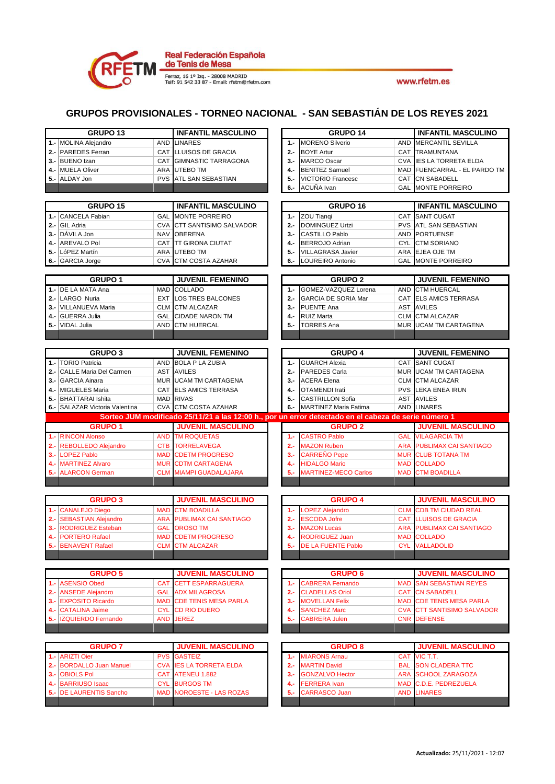

|                | GRUPO <sub>13</sub>                                    |                          | <b>INFANTIL MASCULINO</b>                            |                | GRUPO <sub>14</sub>                                                                                  |                          | <b>INFANTIL MASCULINO</b>                             |
|----------------|--------------------------------------------------------|--------------------------|------------------------------------------------------|----------------|------------------------------------------------------------------------------------------------------|--------------------------|-------------------------------------------------------|
| $1 -$          | <b>MOLINA Alejandro</b>                                | <b>AND</b>               | <b>LINARES</b>                                       | $1 -$          | <b>MORENO Silverio</b>                                                                               | <b>AND</b>               | <b>MERCANTIL SEVILLA</b>                              |
| $2 -$          | <b>PAREDES</b> Ferran                                  | CAT                      | <b>LLUISOS DE GRACIA</b>                             | $2 -$          | <b>BOYE Artur</b>                                                                                    | CAT                      | <b>TRAMUNTANA</b>                                     |
| $3 -$          | <b>BUENO Izan</b>                                      | CAT                      | <b>GIMNASTIC TARRAGONA</b>                           | $3 -$          | <b>MARCO Oscar</b>                                                                                   | <b>CVA</b>               | <b>IES LA TORRETA ELDA</b>                            |
| 4.-            | <b>MUELA Oliver</b>                                    | ARA                      | <b>UTEBO TM</b>                                      | 4.-            | <b>BENITEZ Samuel</b>                                                                                |                          | MAD FUENCARRAL - EL PARDO TM                          |
| 5.-            | ALDAY Jon                                              | <b>PVS</b>               | <b>ATL SAN SEBASTIAN</b>                             | 5.-            | <b>VICTORIO Francesc</b>                                                                             | <b>CAT</b>               | <b>CN SABADELL</b>                                    |
|                |                                                        |                          |                                                      | $6 -$          | ACUÑA Ivan                                                                                           | GAL                      | <b>MONTE PORREIRO</b>                                 |
|                | GRUPO <sub>15</sub>                                    |                          | <b>INFANTIL MASCULINO</b>                            |                | GRUPO <sub>16</sub>                                                                                  |                          | <b>INFANTIL MASCULINO</b>                             |
| $1 -$          | <b>CANCELA Fabian</b>                                  | GAL                      | <b>MONTE PORREIRO</b>                                | $1 -$          | <b>ZOU Tiangi</b>                                                                                    | CAT                      | <b>SANT CUGAT</b>                                     |
| $2 -$          | <b>GIL Adria</b>                                       | <b>CVA</b>               | <b>CTT SANTISIMO SALVADOR</b>                        | $2 -$          | <b>DOMINGUEZ Urtzi</b>                                                                               | <b>PVS</b>               | <b>ATL SAN SEBASTIAN</b>                              |
| $3 -$          | DÁVILA Jon                                             | <b>NAV</b>               | <b>OBERENA</b>                                       | $3 -$          | <b>CASTILLO Pablo</b>                                                                                | AND                      | <b>PORTUENSE</b>                                      |
| 4.-            | <b>AREVALO Pol</b>                                     | CAT                      | <b>ITT GIRONA CIUTAT</b>                             | 4.-            | <b>BERROJO Adrian</b>                                                                                | <b>CYL</b>               | <b>CTM SORIANO</b>                                    |
| 5.-            | LóPEZ Martín                                           | ARA                      | <b>UTEBO TM</b>                                      | 5.-            | <b>VILLAGRASA Javier</b>                                                                             | ARA                      | EJEA OJE TM                                           |
| 6.-            | <b>GARCIA Jorge</b>                                    | <b>CVA</b>               | CTM COSTA AZAHAR                                     | 6.-            | LOUREIRO Antonio                                                                                     | GAL                      | <b>MONTE PORREIRO</b>                                 |
|                | <b>GRUPO 1</b>                                         |                          | <b>JUVENIL FEMENINO</b>                              |                | <b>GRUPO 2</b>                                                                                       |                          | <b>JUVENIL FEMENINO</b>                               |
| $1 -$          | DE LA MATA Ana                                         | <b>MAD</b>               | <b>COLLADO</b>                                       | $1 -$          | GOMEZ-VAZQUEZ Lorena                                                                                 | <b>AND</b>               | <b>CTM HUERCAL</b>                                    |
| $2 -$          | LARGO Nuria                                            | <b>EXT</b>               | <b>LOS TRES BALCONES</b>                             | $2 -$          | <b>GARCIA DE SORIA Mar</b>                                                                           | CAT                      | <b>ELS AMICS TERRASA</b>                              |
| $3 -$          | VILLANUEVA Maria                                       |                          | <b>CLM</b> CTM ALCAZAR                               | $3 -$          | <b>PUENTE Ana</b>                                                                                    |                          | <b>AST AVILES</b>                                     |
| 4.-            | <b>GUERRA Julia</b>                                    | GAL                      | <b>CIDADE NARON TM</b>                               | 4.-            | <b>RUIZ Marta</b>                                                                                    | <b>CLM</b>               | <b>CTM ALCAZAR</b>                                    |
| $5 -$          | <b>VIDAL Julia</b>                                     | AND                      | <b>CTM HUERCAL</b>                                   | 5.-            | <b>TORRES Ana</b>                                                                                    | <b>MUR</b>               | <b>UCAM TM CARTAGENA</b>                              |
|                |                                                        |                          |                                                      |                |                                                                                                      |                          |                                                       |
|                | <b>GRUPO 3</b>                                         |                          | <b>JUVENIL FEMENINO</b>                              |                | <b>GRUPO 4</b>                                                                                       |                          | <b>JUVENIL FEMENINO</b>                               |
| $1 -$          | <b>TORIO Patricia</b>                                  | <b>AND</b>               | <b>BOLA P LA ZUBIA</b>                               | $1 -$          | <b>GUARCH Alexia</b>                                                                                 |                          | CAT SANT CUGAT                                        |
| $2 -$          | <b>CALLE Maria Del Carmen</b>                          | <b>AST</b>               | <b>AVILES</b>                                        | $2 -$          | <b>PAREDES Carla</b>                                                                                 | <b>MUR</b>               | <b>UCAM TM CARTAGENA</b>                              |
| $3 -$          | <b>GARCIA Ainara</b>                                   |                          | MUR UCAM TM CARTAGENA                                | $3 -$          | <b>ACERA Elena</b>                                                                                   | <b>CLM</b>               | <b>CTM ALCAZAR</b>                                    |
| 4.-            | <b>MIGUELES Maria</b>                                  | CAT                      | <b>ELS AMICS TERRASA</b>                             | 4.-            | <b>OTAMENDI Irati</b>                                                                                | <b>PVS</b>               | <b>LEKA ENEA IRUN</b>                                 |
| $5 -$          | <b>BHATTARAI</b> Ishita                                |                          | <b>MAD RIVAS</b>                                     | $5 -$          | <b>CASTRILLON Sofia</b>                                                                              |                          | AST AVILES                                            |
| 6.-            | SALAZAR Victoria Valentina                             |                          | CVA CTM COSTA AZAHAR                                 | 6.-            | <b>MARTINEZ Maria Fatima</b>                                                                         |                          | <b>AND LINARES</b>                                    |
|                |                                                        |                          |                                                      |                |                                                                                                      |                          |                                                       |
|                |                                                        |                          |                                                      |                | Sorteo JUM modificado 25/11/21 a las 12:00 h., por un error detectado en el cabeza de serie número 1 |                          |                                                       |
|                | <b>GRUPO 1</b>                                         |                          | <b>JUVENIL MASCULINO</b>                             |                | <b>GRUPO 2</b>                                                                                       |                          | <b>JUVENIL MASCULINO</b>                              |
| 1.-            | <b>RINCON Alonso</b>                                   |                          | <b>AND TM ROQUETAS</b>                               | $1 -$          | <b>CASTRO Pablo</b>                                                                                  | <b>GAL</b>               | <b>VILAGARCIA TM</b>                                  |
| $2 -$          | <b>REBOLLEDO Alejandro</b>                             | <b>CTB</b>               | <b>TORRELAVEGA</b>                                   | $2 -$<br>$3 -$ | <b>MAZON Ruben</b>                                                                                   | <b>ARA</b>               | <b>PUBLIMAX CAI SANTIAGO</b>                          |
| $3 -$<br>4.-   | <b>LOPEZ Pablo</b><br><b>MARTINEZ Alvaro</b>           | <b>MUR</b>               | <b>MAD CDETM PROGRESO</b><br><b>CDTM CARTAGENA</b>   | 4.-            | <b>CARREÑO Pepe</b><br><b>HIDALGO Mario</b>                                                          | <b>MAD</b>               | <b>MUR CLUB TOTANA TM</b><br><b>COLLADO</b>           |
| $5. -$         | <b>ALARCON German</b>                                  | <b>CLM</b>               | <b>MIAMPI GUADALAJARA</b>                            | $5 -$          | <b>MARTINEZ-MECO Carlos</b>                                                                          | <b>MAD</b>               | <b>CTM BOADILLA</b>                                   |
|                |                                                        |                          |                                                      |                |                                                                                                      |                          |                                                       |
|                |                                                        |                          |                                                      |                |                                                                                                      |                          |                                                       |
|                | <b>GRUPO 3</b>                                         |                          | <b>JUVENIL MASCULINO</b>                             |                | <b>GRUPO 4</b>                                                                                       |                          | <b>JUVENIL MASCULINO</b>                              |
| 1.-<br>$2 -$   | <b>CANALEJO Diego</b>                                  | <b>MAD</b><br><b>ARA</b> | <b>CTM BOADILLA</b><br><b>PUBLIMAX CAI SANTIAGO</b>  | 1.5<br>$2 -$   | <b>LOPEZ Alejandro</b>                                                                               | <b>CLM</b><br><b>CAT</b> | <b>CDB TM CIUDAD REAL</b><br><b>LLUISOS DE GRACIA</b> |
| $3 -$          | <b>SEBASTIAN Alejandro</b><br><b>RODRIGUEZ Esteban</b> | <b>GAL</b>               | <b>OROSO TM</b>                                      | $3 -$          | <b>ESCODA Jofre</b><br><b>MAZON Lucas</b>                                                            |                          | <b>ARA PUBLIMAX CAI SANTIAGO</b>                      |
| $4 -$          | <b>PORTERO Rafael</b>                                  | <b>MAD</b>               | <b>CDETM PROGRESO</b>                                | 4.-            | <b>RODRIGUEZ Juan</b>                                                                                |                          | <b>MAD COLLADO</b>                                    |
|                | 5.- BENAVENT Rafael                                    |                          | <b>CLM CTM ALCAZAR</b>                               |                | 5.- DE LA FUENTE Pablo                                                                               |                          | <b>CYL VALLADOLID</b>                                 |
|                |                                                        |                          |                                                      |                |                                                                                                      |                          |                                                       |
|                |                                                        |                          |                                                      |                |                                                                                                      |                          |                                                       |
|                | <b>GRUPO 5</b>                                         |                          | <b>JUVENIL MASCULINO</b>                             |                | <b>GRUPO 6</b>                                                                                       | <b>MAD</b>               | <b>JUVENIL MASCULINO</b>                              |
| $2 -$          | 1.- ASENSIO Obed<br><b>ANSEDE Alejandro</b>            | <b>CAT</b>               | <b>CETT ESPARRAGUERA</b><br><b>GAL ADX MILAGROSA</b> | $1 -$<br>2.-   | <b>CABRERA Fernando</b><br><b>CLADELLAS Oriol</b>                                                    |                          | <b>SAN SEBASTIAN REYES</b><br><b>CAT CN SABADELL</b>  |
| $3 -$          | <b>EXPOSITO Ricardo</b>                                |                          | <b>MAD CDE TENIS MESA PARLA</b>                      | $3 -$          | <b>MOVELLAN Felix</b>                                                                                | MAD                      | <b>CDE TENIS MESA PARLA</b>                           |
| $4 -$          | <b>CATALINA Jaime</b>                                  |                          | <b>CYL CD RIO DUERO</b>                              | 4.-            | <b>SANCHEZ Marc</b>                                                                                  |                          | <b>CVA CTT SANTISIMO SALVADOR</b>                     |
| $5 -$          | <b>IZQUIERDO Fernando</b>                              | AND                      | <b>JEREZ</b>                                         | $5 -$          | <b>CABRERA Julen</b>                                                                                 | <b>CNR</b>               | <b>DEFENSE</b>                                        |
|                |                                                        |                          |                                                      |                |                                                                                                      |                          |                                                       |
|                |                                                        |                          |                                                      |                |                                                                                                      |                          |                                                       |
|                | <b>GRUPO 7</b><br><b>ARIZTI Oier</b>                   |                          | <b>JUVENIL MASCULINO</b>                             |                | <b>GRUPO 8</b>                                                                                       | <b>CAT</b>               | <b>JUVENIL MASCULINO</b><br>VIC T.T.                  |
| $1 -$          |                                                        |                          | <b>PVS GASTEIZ</b><br><b>CVA IES LA TORRETA ELDA</b> | $1 -$<br>2.-   | <b>MIARONS Amau</b>                                                                                  | <b>BAL</b>               |                                                       |
| $2 -$<br>$3 -$ | <b>BORDALLO Juan Manuel</b><br><b>OBIOLS Pol</b>       |                          | CAT ATENEU 1.882                                     | $3 -$          | <b>MARTIN David</b><br><b>GONZALVO Hector</b>                                                        | <b>ARA</b>               | <b>SON CLADERA TTC</b><br><b>SCHOOL ZARAGOZA</b>      |
| $4 -$          | <b>BARRIUSO Isaac</b>                                  |                          | <b>CYL BURGOS TM</b>                                 | 4.-            | <b>FERRERA</b> Ivan                                                                                  |                          | MAD C.D.E. PEDREZUELA                                 |
| $5 -$          | <b>DE LAURENTIS Sancho</b>                             |                          | <b>MAD NOROESTE - LAS ROZAS</b>                      | $5 -$          | <b>CARRASCO Juan</b>                                                                                 |                          | <b>AND LINARES</b>                                    |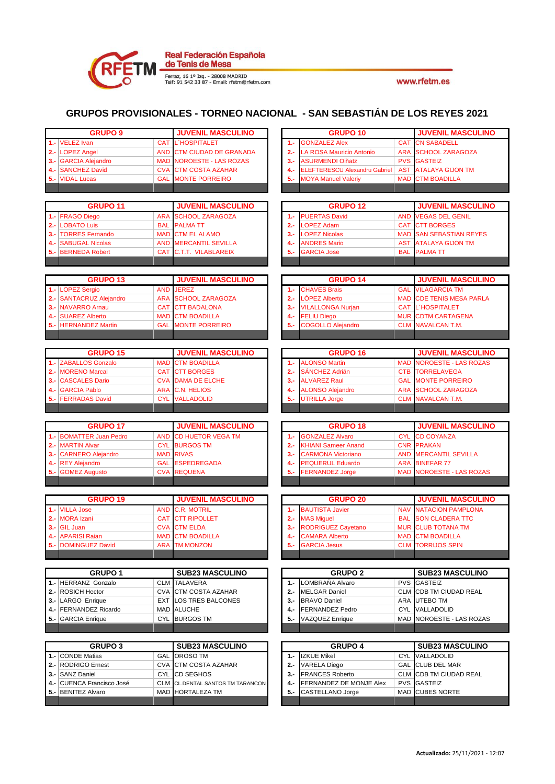

|                | <b>GRUPO 9</b>                                |                          | <b>JUVENIL MASCULINO</b>                           |                | <b>GRUPO 10</b>                                |            | <b>JUVENIL MASCULINO</b>                                |
|----------------|-----------------------------------------------|--------------------------|----------------------------------------------------|----------------|------------------------------------------------|------------|---------------------------------------------------------|
| 1.5            | <b>VELEZ Ivan</b>                             | CAT                      | <b>L'HOSPITALET</b>                                | $1 -$          | <b>GONZALEZ Alex</b>                           | CAT        | <b>CN SABADELL</b>                                      |
| $2 -$          | <b>LOPEZ Angel</b>                            | <b>AND</b>               | <b>CTM CIUDAD DE GRANADA</b>                       | $2 -$          | <b>LA ROSA Mauricio Antonio</b>                |            | <b>ARA SCHOOL ZARAGOZA</b>                              |
| $3 -$          | <b>GARCIA Alejandro</b>                       | <b>MAD</b>               | <b>NOROESTE - LAS ROZAS</b>                        | $3 -$          | <b>ASURMENDI Oiñatz</b>                        |            | <b>PVS GASTEIZ</b>                                      |
| $4 -$          | <b>SANCHEZ David</b>                          | <b>CVA</b>               | <b>CTM COSTA AZAHAR</b>                            | $4 -$          | <b>ELEFTERESCU Alexandru Gabriel</b>           | <b>AST</b> | <b>ATALAYA GIJON TM</b>                                 |
| $5 -$          | <b>VIDAL Lucas</b>                            | <b>GAL</b>               | <b>MONTE PORREIRO</b>                              | $5 -$          | <b>MOYA Manuel Valeriy</b>                     | <b>MAD</b> | <b>CTM BOADILLA</b>                                     |
|                |                                               |                          |                                                    |                |                                                |            |                                                         |
|                |                                               |                          |                                                    |                |                                                |            |                                                         |
|                | <b>GRUPO 11</b><br><b>FRAGO Diego</b>         |                          | <b>JUVENIL MASCULINO</b><br><b>SCHOOL ZARAGOZA</b> |                | <b>GRUPO 12</b><br><b>PUERTAS David</b>        |            | <b>JUVENIL MASCULINO</b><br><b>AND VEGAS DEL GENIL</b>  |
| 1.-<br>$2 -$   | <b>LOBATO Luis</b>                            | <b>ARA</b><br><b>BAL</b> | <b>PALMATT</b>                                     | 1.-<br>$2 -$   | <b>OPEZ Adam</b>                               | <b>CAT</b> | <b>CTT BORGES</b>                                       |
| $3 -$          | <b>TORRES Fernando</b>                        | <b>MAD</b>               | <b>CTM EL ALAMO</b>                                | $3 -$          | <b>OPEZ Nicolas</b>                            |            | <b>MAD SAN SEBASTIAN REYES</b>                          |
| 4.-            | <b>SABUGAL Nicolas</b>                        | <b>AND</b>               | <b>MERCANTIL SEVILLA</b>                           | $4 -$          | <b>ANDRES Mario</b>                            | <b>AST</b> | <b>ATALAYA GIJON TM</b>                                 |
| $5 -$          | <b>BERNEDA Robert</b>                         | <b>CAT</b>               | C.T.T. VILABLAREIX                                 | $5 -$          | <b>GARCIA Jose</b>                             |            | <b>BAL PALMATT</b>                                      |
|                |                                               |                          |                                                    |                |                                                |            |                                                         |
|                |                                               |                          |                                                    |                |                                                |            |                                                         |
|                | <b>GRUPO 13</b>                               |                          | <b>JUVENIL MASCULINO</b>                           |                | <b>GRUPO 14</b>                                |            | <b>JUVENIL MASCULINO</b>                                |
| 1.-            | <b>LOPEZ Sergio</b>                           | <b>AND</b>               | <b>JEREZ</b>                                       | $1 -$          | <b>CHAVES Brais</b>                            |            | <b>GAL VILAGARCIA TM</b>                                |
| $2 -$          | <b>SANTACRUZ Alejandro</b>                    | <b>ARA</b>               | <b>SCHOOL ZARAGOZA</b>                             | $2 -$          | LÓPEZ Alberto                                  |            | <b>MAD CDE TENIS MESA PARLA</b>                         |
| $3 -$          | <b>NAVARRO Arnau</b><br><b>SUAREZ Alberto</b> | CAT                      | <b>CTT BADALONA</b>                                | $3 -$          | <b>VILALLONGA Nurjan</b>                       |            | <b>CAT L'HOSPITALET</b>                                 |
| 4.-            |                                               | <b>MAD</b><br><b>GAL</b> | <b>CTM BOADILLA</b><br><b>MONTE PORREIRO</b>       | $4 -$          | <b>FELIU Diego</b><br><b>COGOLLO Alejandro</b> |            | <b>MUR CDTM CARTAGENA</b>                               |
|                | 5.- HERNANDEZ Martin                          |                          |                                                    | $5 -$          |                                                |            | <b>CLM</b> NAVALCAN T.M.                                |
|                |                                               |                          |                                                    |                |                                                |            |                                                         |
|                | <b>GRUPO 15</b>                               |                          | <b>JUVENIL MASCULINO</b>                           |                | <b>GRUPO 16</b>                                |            | <b>JUVENIL MASCULINO</b>                                |
| 1.-            | <b>ZABALLOS Gonzalo</b>                       | <b>MAD</b>               | <b>CTM BOADILLA</b>                                | $1 -$          | <b>ALONSO Martin</b>                           |            | <b>MAD NOROESTE - LAS ROZAS</b>                         |
| $2 -$          | <b>MORENO Marcal</b>                          | <b>CAT</b>               | <b>CTT BORGES</b>                                  | $2 -$          | SÁNCHEZ Adrián                                 |            | <b>CTB TORRELAVEGA</b>                                  |
| $3 -$          | <b>CASCALES Dario</b>                         | <b>CVA</b>               | <b>DAMA DE ELCHE</b>                               | $3 -$          | <b>ALVAREZ Raul</b>                            |            | <b>GAL MONTE PORREIRO</b>                               |
| 4.-            | <b>GARCIA Pablo</b>                           | <b>ARA</b>               | <b>C.N. HELIOS</b>                                 | 4.-            | <b>ALONSO Alejandro</b>                        |            | <b>ARA SCHOOL ZARAGOZA</b>                              |
| 5.-            | <b>FERRADAS David</b>                         | <b>CYL</b>               | <b>VALLADOLID</b>                                  | $5 -$          | <b>UTRILLA Jorge</b>                           | <b>CLM</b> | <b>NAVALCAN T.M.</b>                                    |
|                |                                               |                          |                                                    |                |                                                |            |                                                         |
|                |                                               |                          |                                                    |                |                                                |            |                                                         |
|                | <b>GRUPO 17</b>                               |                          | <b>JUVENIL MASCULINO</b>                           |                | <b>GRUPO 18</b>                                |            | <b>JUVENIL MASCULINO</b>                                |
| $1 -$          | <b>BOMATTER Juan Pedro</b>                    | <b>AND</b>               | <b>CD HUETOR VEGA TM</b>                           | $1 -$          | <b>GONZALEZ Alvaro</b>                         |            | <b>CYL CD COYANZA</b>                                   |
| $2 -$          | <b>MARTIN Alvar</b>                           | <b>CYL</b>               | <b>BURGOS TM</b>                                   | $2 -$          | <b>KHIANI Sameer Anand</b>                     |            | <b>CNR PRAKAN</b>                                       |
| $3 -$          | <b>CARNERO Alejandro</b>                      |                          | <b>MAD RIVAS</b>                                   | $3 -$          | <b>CARMONA Victoriano</b>                      |            | <b>AND MERCANTIL SEVILLA</b>                            |
| 4.-            | <b>REY Alejandro</b>                          | <b>GAL</b>               | <b>ESPEDREGADA</b>                                 | $4 -$          | <b>PEQUERUL Eduardo</b>                        |            | <b>ARA BINEFAR 77</b>                                   |
| 5.-            | <b>GOMEZ Augusto</b>                          | <b>CVA</b>               | <b>REQUENA</b>                                     | $5 -$          | <b>FERNANDEZ Jorge</b>                         | <b>MAD</b> | <b>NOROESTE - LAS ROZAS</b>                             |
|                |                                               |                          |                                                    |                |                                                |            |                                                         |
|                |                                               |                          |                                                    |                |                                                |            |                                                         |
|                | <b>GRUPO 19</b>                               |                          | <b>JUVENIL MASCULINO</b>                           |                | <b>GRUPO 20</b>                                |            | <b>JUVENIL MASCULINO</b>                                |
| $1 -$          | <b>VILLA Jose</b>                             | <b>AND</b>               | <b>C.R. MOTRIL</b>                                 | $1 -$          | <b>BAUTISTA Javier</b>                         |            | <b>NAV NATACION PAMPLONA</b>                            |
| $2 -$<br>$3 -$ | <b>MORA Izani</b><br><b>GIL Juan</b>          | <b>CAT</b><br><b>CVA</b> | <b>CTT RIPOLLET</b><br><b>CTM ELDA</b>             | $2 -$<br>$3 -$ | <b>MAS Miguel</b><br><b>RODRIGUEZ Cayetano</b> |            | <b>BAL SON CLADERA TTC</b><br><b>MUR CLUB TOTANA TM</b> |
|                | 4 .- APARISI Raian                            |                          | <b>MAD CTM BOADILLA</b>                            | 4.-            | <b>CAMARA Alberto</b>                          |            | <b>MAD CTM BOADILLA</b>                                 |
|                | 5.- DOMINGUEZ David                           |                          | <b>ARA</b> TM MONZON                               | 5.-            | <b>GARCIA Jesus</b>                            |            | <b>CLM TORRIJOS SPIN</b>                                |
|                |                                               |                          |                                                    |                |                                                |            |                                                         |
|                |                                               |                          |                                                    |                |                                                |            |                                                         |
|                | GRUPO <sub>1</sub>                            |                          | <b>SUB23 MASCULINO</b>                             |                | <b>GRUPO 2</b>                                 |            | <b>SUB23 MASCULINO</b>                                  |
|                | 1.- HERRANZ Gonzalo                           |                          | <b>CLM TALAVERA</b>                                | $1 -$          | LOMBRAÑA Alvaro                                |            | <b>PVS</b> GASTEIZ                                      |
|                | 2.- ROSICH Hector                             |                          | CVA CTM COSTA AZAHAR                               | $2 -$          | <b>MELGAR Daniel</b>                           |            | CLM CDB TM CIUDAD REAL                                  |
|                | 3.- LARGO Enrique                             |                          | EXT LOS TRES BALCONES                              | $3 -$          | <b>BRAVO Daniel</b>                            |            | ARA UTEBO TM                                            |
|                | 4.- FERNANDEZ Ricardo                         |                          | MAD ALUCHE                                         | 4.-            | FERNANDEZ Pedro                                |            | CYL VALLADOLID                                          |
|                | 5.- GARCIA Enrique                            |                          | CYL BURGOS TM                                      | 5.             | <b>VAZQUEZ Enrique</b>                         |            | MAD NOROESTE - LAS ROZAS                                |
|                |                                               |                          |                                                    |                |                                                |            |                                                         |
|                | <b>GRUPO 3</b>                                |                          | <b>SUB23 MASCULINO</b>                             |                | <b>GRUPO 4</b>                                 |            | <b>SUB23 MASCULINO</b>                                  |
|                | 1.- CONDE Matias                              |                          | <b>GAL OROSO TM</b>                                | $1 -$          | <b>IZKUE Mikel</b>                             |            | <b>CYL VALLADOLID</b>                                   |
|                | 2.- RODRIGO Ernest                            |                          | CVA CTM COSTA AZAHAR                               | $2 -$          | <b>VARELA Diego</b>                            |            | GAL CLUB DEL MAR                                        |
|                | 3.- SANZ Daniel                               |                          | CYL CD SEGHOS                                      | $3 -$          | <b>FRANCES Roberto</b>                         |            | CLM CDB TM CIUDAD REAL                                  |
|                | 4.- CUENCA Francisco José                     |                          | CLM CL.DENTAL SANTOS TM TARANCON                   | 4.-            | FERNANDEZ DE MONJE Alex                        |            | <b>PVS</b> GASTEIZ                                      |
|                | 5.- BENITEZ Alvaro                            |                          | MAD HORTALEZA TM                                   | 5.-            | CASTELLANO Jorge                               |            | MAD CUBES NORTE                                         |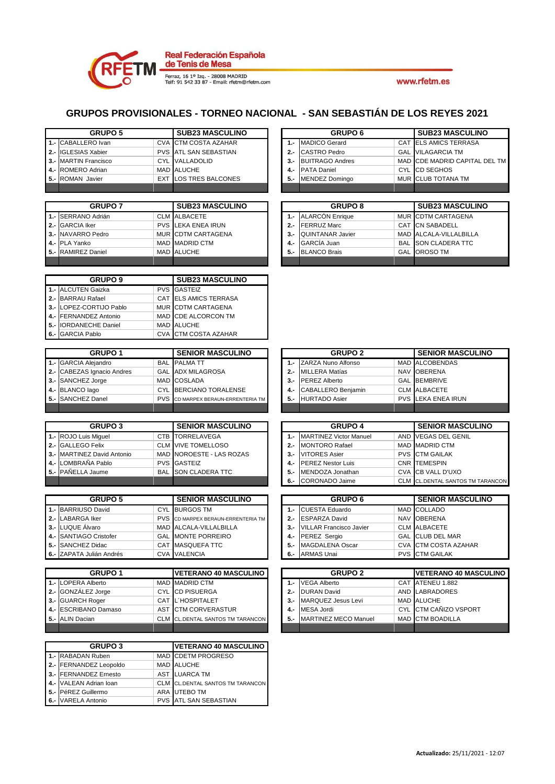

### **GRUPOS PROVISIONALES - TORNEO NACIONAL - SAN SEBASTIÁN DE LOS REYES 2021**

|       | <b>GRUPO 5</b>                              |            | <b>SUB23 MASCULINO</b>                                         |       | GRUPO <sub>6</sub>                               |                  | <b>SUB23 MASCULINO</b>                    |
|-------|---------------------------------------------|------------|----------------------------------------------------------------|-------|--------------------------------------------------|------------------|-------------------------------------------|
|       | 1.- CABALLERO Ivan                          |            | <b>CVA</b> CTM COSTA AZAHAR                                    | $1 -$ | MADICO Gerard                                    |                  | CAT ELS AMICS TERRASA                     |
|       | 2.- IGLESIAS Xabier                         |            | <b>PVS</b> ATL SAN SEBASTIAN                                   | $2 -$ | <b>CASTRO Pedro</b>                              |                  | <b>GAL</b> VILAGARCIA TM                  |
|       | 3.- MARTIN Francisco                        |            | CYL VALLADOLID                                                 | $3 -$ | <b>BUITRAGO Andres</b>                           |                  | MAD CDE MADRID CAPITAL DEL TM             |
| 4.-   | ROMERO Adrian                               |            | MAD ALUCHE                                                     | 4.-   | <b>PATA Daniel</b>                               | <b>CYL</b>       | <b>CD SEGHOS</b>                          |
| 5.-   | ROMAN Javier                                |            | <b>EXT LOS TRES BALCONES</b>                                   | 5.-   | <b>MENDEZ Domingo</b>                            | <b>MUR</b>       | <b>CLUB TOTANA TM</b>                     |
|       |                                             |            |                                                                |       |                                                  |                  |                                           |
|       |                                             |            |                                                                |       |                                                  |                  |                                           |
|       | <b>GRUPO 7</b>                              |            | <b>SUB23 MASCULINO</b>                                         |       | <b>GRUPO 8</b>                                   |                  | <b>SUB23 MASCULINO</b>                    |
|       | 1.- SERRANO Adrián                          |            | <b>CLM</b> ALBACETE                                            | 1.-   | <b>ALARCÓN Enrique</b>                           |                  | MUR CDTM CARTAGENA                        |
| $2 -$ | <b>GARCIA Iker</b>                          |            | PVS LEKA ENEA IRUN                                             | $2 -$ | <b>FERRUZ Marc</b>                               | <b>CAT</b>       | <b>CN SABADELL</b>                        |
|       | 3.- NAVARRO Pedro                           |            | MUR CDTM CARTAGENA                                             | $3 -$ | <b>QUINTANAR Javier</b>                          |                  | MAD ALCALA-VILLALBILLA                    |
| 4.-   | PLA Yanko                                   |            | <b>MAD MADRID CTM</b>                                          | 4.-   | <b>GARCÍA Juan</b>                               | BAL <sup>I</sup> | SON CLADERA TTC                           |
| 5.-   | <b>RAMIREZ Daniel</b>                       |            | MAD ALUCHE                                                     | 5.-   | <b>BLANCO Brais</b>                              | GAL              | OROSO TM                                  |
|       |                                             |            |                                                                |       |                                                  |                  |                                           |
|       | <b>GRUPO 9</b>                              |            | <b>SUB23 MASCULINO</b>                                         |       |                                                  |                  |                                           |
|       | 1.- ALCUTEN Gaizka                          |            | <b>PVS GASTEIZ</b>                                             |       |                                                  |                  |                                           |
|       | 2.- BARRAU Rafael                           |            | CAT ELS AMICS TERRASA                                          |       |                                                  |                  |                                           |
|       | 3.- LOPEZ-CORTIJO Pablo                     |            | MUR CDTM CARTAGENA                                             |       |                                                  |                  |                                           |
|       | 4.- FERNANDEZ Antonio                       |            | MAD CDE ALCORCON TM                                            |       |                                                  |                  |                                           |
| 5.-   | <b>IORDANECHE Daniel</b>                    |            | MAD ALUCHE                                                     |       |                                                  |                  |                                           |
| 6.-   | <b>GARCIA Pablo</b>                         |            | CVA CTM COSTA AZAHAR                                           |       |                                                  |                  |                                           |
|       |                                             |            |                                                                |       |                                                  |                  |                                           |
|       | <b>GRUPO 1</b>                              |            | <b>SENIOR MASCULINO</b>                                        |       | <b>GRUPO 2</b>                                   |                  | <b>SENIOR MASCULINO</b>                   |
|       | 1.- GARCIA Alejandro                        |            | <b>BAL</b> PALMATT                                             | $1 -$ | ZARZA Nuno Alfonso                               |                  | MAD ALCOBENDAS                            |
| $2 -$ | <b>CABEZAS Ignacio Andres</b>               |            | <b>GAL ADX MILAGROSA</b>                                       | $2 -$ | <b>MILLERA Matías</b>                            |                  | NAV OBERENA                               |
| $3 -$ | SANCHEZ Jorge                               |            | MAD COSLADA                                                    | 3.-   | <b>PEREZ Alberto</b>                             |                  | <b>GAL BEMBRIVE</b>                       |
| 4.-   | <b>BLANCO</b> lago                          |            | CYL BERCIANO TORALENSE                                         | 4.-   | <b>CABALLERO Benjamin</b>                        |                  | <b>CLM ALBACETE</b>                       |
| 5.-   | <b>SANCHEZ Danel</b>                        | <b>PVS</b> | CD MARPEX BERAUN-ERRENTERIA TM                                 | 5.-   | <b>HURTADO Asier</b>                             | <b>PVS</b>       | LEKA ENEA IRUN                            |
|       |                                             |            |                                                                |       |                                                  |                  |                                           |
|       | <b>GRUPO 3</b>                              |            | <b>SENIOR MASCULINO</b>                                        |       | <b>GRUPO 4</b>                                   |                  | <b>SENIOR MASCULINO</b>                   |
|       | 1.- ROJO Luis Miguel                        |            | CTB TORRELAVEGA                                                | $1 -$ | <b>MARTINEZ Victor Manuel</b>                    |                  | AND VEGAS DEL GENIL                       |
|       | 2.- GALLEGO Felix                           |            | <b>CLM VIVE TOMELLOSO</b>                                      | $2 -$ | <b>MONTORO Rafael</b>                            |                  | MAD MADRID CTM                            |
| $3 -$ | <b>MARTINEZ David Antonio</b>               |            | MAD NOROESTE - LAS ROZAS                                       | 3.-   | <b>VITORES Asier</b>                             |                  | <b>PVS</b> CTM GAILAK                     |
| 4.-   | LOMBRAÑA Pablo                              |            | <b>PVS GASTEIZ</b>                                             | 4.-   | <b>PEREZ Nestor Luis</b>                         |                  | <b>CNR TEMESPIN</b>                       |
| $5 -$ | PAÑELLA Jaume                               | <b>BAL</b> | <b>SON CLADERA TTC</b>                                         | 5.-   | MENDOZA Jonathan                                 | CVA <sup>I</sup> | CB VALL D'UXO                             |
|       |                                             |            |                                                                |       | CORONADO Jaime                                   |                  |                                           |
|       |                                             |            |                                                                | 6.-   |                                                  |                  | <b>CLM</b> CL.DENTAL SANTOS TM TARANCOM   |
|       |                                             |            |                                                                |       |                                                  |                  |                                           |
|       | <b>GRUPO 5</b>                              |            | <b>SENIOR MASCULINO</b>                                        |       | <b>GRUPO 6</b>                                   |                  | <b>SENIOR MASCULINO</b>                   |
|       | 1.- BARRIUSO David                          |            | CYL BURGOS TM                                                  | $1 -$ | <b>CUESTA Eduardo</b>                            |                  | MAD COLLADO                               |
| $2 -$ | <b>LABARGA Iker</b>                         | <b>PVS</b> | CD MARPEX BERAUN-ERRENTERIA TM                                 | 2.-   | <b>ESPARZA David</b>                             | <b>NAV</b>       | <b>OBERENA</b>                            |
|       | 3.- LUQUE Álvaro                            |            | MAD ALCALA-VILLALBILLA                                         | 3.-   | <b>VILLAR Francisco Javier</b>                   |                  | <b>CLM ALBACETE</b>                       |
|       | 4.- SANTIAGO Cristofer                      |            | <b>GAL MONTE PORREIRO</b>                                      |       | 4.- PEREZ Sergio                                 |                  | GAL CLUB DEL MAR                          |
|       | 5.- SANCHEZ Didac                           |            | CAT MASQUEFA TTC                                               |       | 5.- MAGDALENA Oscar                              |                  | CVA CTM COSTA AZAHAR                      |
|       | 6.- ZAPATA Julián Andrés                    |            | CVA VALENCIA                                                   | 6.-   | <b>ARMAS Unai</b>                                | PVS              | <b>CTM GAILAK</b>                         |
|       | <b>GRUPO 1</b>                              |            | <b>VETERANO 40 MASCULINO</b>                                   |       | <b>GRUPO 2</b>                                   |                  | VETERANO 40 MASCULINO                     |
|       | 1.- LOPERA Alberto                          |            | MAD MADRID CTM                                                 | 1.    | <b>VEGA Alberto</b>                              |                  | CAT ATENEU 1.882                          |
|       | 2.- GONZÁLEZ Jorge                          |            | CYL CD PISUERGA                                                | 2.-   | <b>DURAN David</b>                               |                  | AND LABRADORES                            |
|       |                                             |            |                                                                | $3 -$ |                                                  |                  |                                           |
|       | 3.- GUARCH Roger                            |            | CAT L'HOSPITALET                                               | 4.-   | MARQUEZ Jesus Levi                               |                  | MAD ALUCHE                                |
|       | 4.- ESCRIBANO Damaso<br>5.- ALIN Dacian     |            | AST CTM CORVERASTUR<br><b>CLM</b> CL.DENTAL SANTOS TM TARANCON | 5.    | <b>MESA Jordi</b><br><b>MARTINEZ MECO Manuel</b> |                  | CYL CTM CANIZO VSPORT<br>MAD CTM BOADILLA |
|       |                                             |            |                                                                |       |                                                  |                  |                                           |
|       |                                             |            |                                                                |       |                                                  |                  |                                           |
|       | <b>GRUPO 3</b>                              |            | <b>VETERANO 40 MASCULINO</b>                                   |       |                                                  |                  |                                           |
|       | 1.- RABADAN Ruben<br>2.- FERNANDEZ Leopoldo |            | MAD CDETM PROGRESO<br>MAD ALUCHE                               |       |                                                  |                  |                                           |

**3.-** FERNANDEZ Ernesto **AST LUARCA TM**<br>**4.-** VALEAN Adrian Ioan CLM CL.DENTAL SA

**5.-** PéREZ Guillermo ARA<br>**6.-** VARELA Antonio PVS

**4.-** VALEAN Adrian Ioan CLM CL.DENTAL SANTOS TM TARANCON<br>**5.-** PéREZ Guillermo ARA UTEBO TM

**ATL SAN SEBASTIAN** 

|        | <b>GRUPO 8</b>          | <b>SUB23 MASCULINO</b>     |
|--------|-------------------------|----------------------------|
|        | 1.- ALARCÓN Enrique     | MUR CDTM CARTAGENA         |
| $2 -$  | <b>FERRUZ Marc</b>      | CAT CN SABADELL            |
| $3 -$  | <b>QUINTANAR Javier</b> | MAD ALCALA-VILLALBILLA     |
| $4. -$ | GARCÍA Juan             | <b>BAL</b> SON CLADERA TTC |
| $5. -$ | <b>BLANCO Brais</b>     | GAL OROSO TM               |
|        |                         |                            |

|       | <b>GRUPO 2</b>            | <b>SENIOR MASCULINO</b> |                           |
|-------|---------------------------|-------------------------|---------------------------|
|       | 1.- ZARZA Nuno Alfonso    |                         | MAD ALCOBENDAS            |
| $2 -$ | <b>MILLERA Matías</b>     |                         | NAV OBERENA               |
| $3 -$ | <b>PEREZ Alberto</b>      |                         | <b>GAL BEMBRIVE</b>       |
| $4 -$ | <b>CABALLERO Benjamin</b> |                         | CLM ALBACETE              |
|       | 5.- HURTADO Asier         |                         | <b>PVS LEKA ENEA IRUN</b> |
|       |                           |                         |                           |

|       | <b>GRUPO 4</b>                | <b>SENIOR MASCULINO</b> |                                     |  |  |  |
|-------|-------------------------------|-------------------------|-------------------------------------|--|--|--|
| 1.-   | <b>MARTINEZ Victor Manuel</b> |                         | AND VEGAS DEL GENIL                 |  |  |  |
| $2 -$ | <b>MONTORO Rafael</b>         |                         | MAD MADRID CTM                      |  |  |  |
| $3 -$ | <b>VITORES Asier</b>          |                         | <b>PVS</b> CTM GAILAK               |  |  |  |
| 4.-   | <b>IPEREZ Nestor Luis</b>     |                         | <b>CNR TEMESPIN</b>                 |  |  |  |
| 5.-   | MENDOZA Jonathan              |                         | <b>CVA ICB VALL D'UXO</b>           |  |  |  |
| 6.-   | <b>CORONADO Jaime</b>         |                         | <b>CL.DENTAL SANTOS TM TARANCON</b> |  |  |  |

|       | <b>GRUPO 6</b>                 | <b>SENIOR MASCULINO</b> |
|-------|--------------------------------|-------------------------|
|       | 1.- CUESTA Eduardo             | MAD COLLADO             |
| $2 -$ | <b>ESPARZA David</b>           | NAV OBERENA             |
| $3 -$ | <b>VILLAR Francisco Javier</b> | CLM ALBACETE            |
| 4.-   | <b>PEREZ Sergio</b>            | GAL CLUB DEL MAR        |
| $5 -$ | <b>MAGDALENA Oscar</b>         | CVA CTM COSTA AZAHAR    |
| $6 -$ | <b>ARMAS Unai</b>              | <b>PVS</b> CTM GAILAK   |

|        | <b>GRUPO 2</b>              | <b>VETERANO 40 MASCULINO</b> |
|--------|-----------------------------|------------------------------|
|        | <b>VEGA Alberto</b>         | CAT ATENEU 1.882             |
| $2. -$ | <b>DURAN David</b>          | AND LABRADORES               |
| $3 -$  | <b>MARQUEZ Jesus Levi</b>   | MAD ALUCHE                   |
|        | <b>MESA Jordi</b>           | CYL CTM CAÑIZO VSPORT        |
| 5.-    | <b>MARTINEZ MECO Manuel</b> | MAD CTM BOADILLA             |
|        |                             |                              |